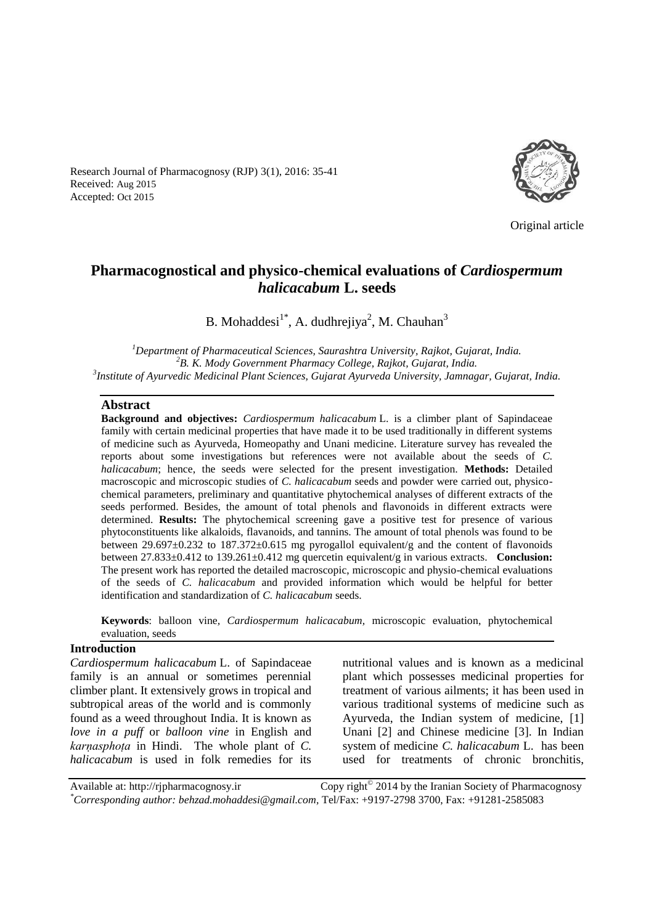Research Journal of Pharmacognosy (RJP) 3(1), 2016: 35-41 Received: Aug 2015 Accepted: Oct 2015



Original article

# **Pharmacognostical and physico-chemical evaluations of** *Cardiospermum halicacabum* **L. seeds**

B. Mohaddesi<sup>1\*</sup>, A. dudhrejiya<sup>2</sup>, M. Chauhan<sup>3</sup>

*<sup>1</sup>Department of Pharmaceutical Sciences, Saurashtra University, Rajkot, Gujarat, India. <sup>2</sup>B. K. Mody Government Pharmacy College, Rajkot, Gujarat, India. 3 Institute of Ayurvedic Medicinal Plant Sciences, Gujarat Ayurveda University, Jamnagar, Gujarat, India.*

#### **Abstract**

**Background and objectives:** *Cardiospermum halicacabum* L. is a climber plant of Sapindaceae family with certain medicinal properties that have made it to be used traditionally in different systems of medicine such as Ayurveda, Homeopathy and Unani medicine. Literature survey has revealed the reports about some investigations but references were not available about the seeds of *C. halicacabum*; hence, the seeds were selected for the present investigation. **Methods:** Detailed macroscopic and microscopic studies of *C. halicacabum* seeds and powder were carried out, physicochemical parameters, preliminary and quantitative phytochemical analyses of different extracts of the seeds performed. Besides, the amount of total phenols and flavonoids in different extracts were determined. **Results:** The phytochemical screening gave a positive test for presence of various phytoconstituents like alkaloids, flavanoids, and tannins. The amount of total phenols was found to be between 29.697±0.232 to 187.372±0.615 mg pyrogallol equivalent/g and the content of flavonoids between 27.833±0.412 to 139.261±0.412 mg quercetin equivalent/g in various extracts. **Conclusion:** The present work has reported the detailed macroscopic, microscopic and physio-chemical evaluations of the seeds of *C. halicacabum* and provided information which would be helpful for better identification and standardization of *C. halicacabum* seeds.

**Keywords**: balloon vine*, Cardiospermum halicacabum,* microscopic evaluation, phytochemical evaluation, seeds

#### **Introduction**

*Cardiospermum halicacabum* L. of Sapindaceae family is an annual or sometimes perennial climber plant. It extensively grows in tropical and subtropical areas of the world and is commonly found as a weed throughout India. It is known as *love in a puff* or *balloon vine* in English and *karṇasphoṭa* in Hindi. The whole plant of *C. halicacabum* is used in folk remedies for its nutritional values and is known as a medicinal plant which possesses medicinal properties for treatment of various ailments; it has been used in various traditional systems of medicine such as Ayurveda, the Indian system of medicine, [1] Unani [2] and Chinese medicine [3]. In Indian system of medicine *C. halicacabum* L.has been used for treatments of chronic bronchitis,

Available at: http://rjpharmacognosy.ir 2014 by the Iranian Society of Pharmacognosy *\*Corresponding author: behzad.mohaddesi@gmail.com,* Tel/Fax: +9197-2798 3700, Fax: +91281-2585083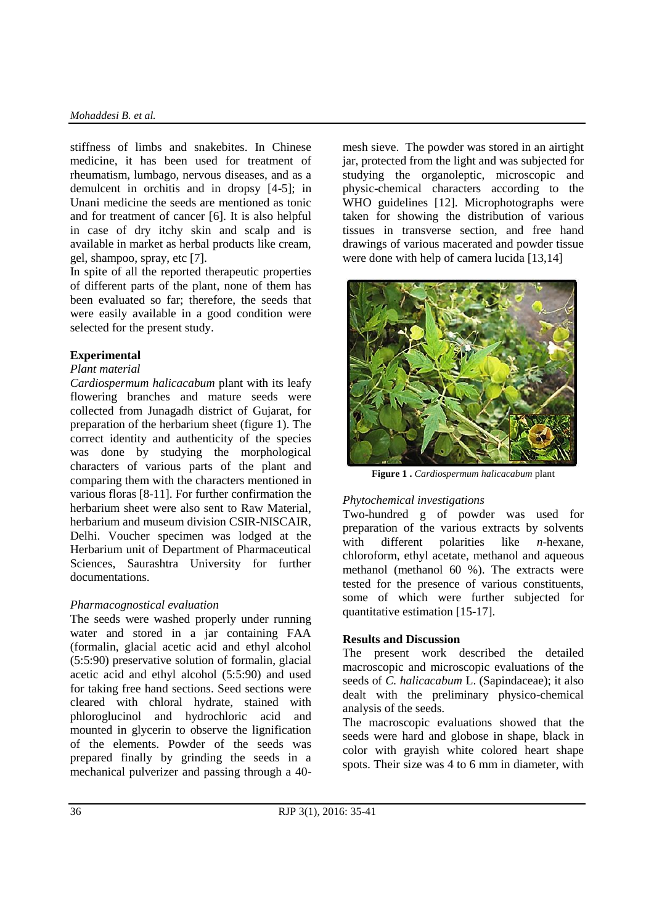stiffness of limbs and snakebites. In Chinese medicine, it has been used for treatment of rheumatism, lumbago, nervous diseases, and as a demulcent in orchitis and in dropsy [4-5]; in Unani medicine the seeds are mentioned as tonic and for treatment of cancer [6]. It is also helpful in case of dry itchy skin and scalp and is available in market as herbal products like cream, gel, shampoo, spray, etc [7].

In spite of all the reported therapeutic properties of different parts of the plant, none of them has been evaluated so far; therefore, the seeds that were easily available in a good condition were selected for the present study.

# **Experimental**

### *Plant material*

*Cardiospermum halicacabum* plant with its leafy flowering branches and mature seeds were collected from Junagadh district of Gujarat, for preparation of the herbarium sheet (figure 1). The correct identity and authenticity of the species was done by studying the morphological characters of various parts of the plant and comparing them with the characters mentioned in various floras [8-11]. For further confirmation the herbarium sheet were also sent to Raw Material, herbarium and museum division CSIR-NISCAIR, Delhi. Voucher specimen was lodged at the Herbarium unit of Department of Pharmaceutical Sciences, Saurashtra University for further documentations.

# *Pharmacognostical evaluation*

The seeds were washed properly under running water and stored in a jar containing FAA (formalin, glacial acetic acid and ethyl alcohol (5:5:90) preservative solution of formalin, glacial acetic acid and ethyl alcohol (5:5:90) and used for taking free hand sections. Seed sections were cleared with chloral hydrate, stained with phloroglucinol and hydrochloric acid and mounted in glycerin to observe the lignification of the elements. Powder of the seeds was prepared finally by grinding the seeds in a mechanical pulverizer and passing through a 40mesh sieve. The powder was stored in an airtight jar, protected from the light and was subjected for studying the organoleptic, microscopic and physic-chemical characters according to the WHO guidelines [12]. Microphotographs were taken for showing the distribution of various tissues in transverse section, and free hand drawings of various macerated and powder tissue were done with help of camera lucida [13,14]



**Figure 1 .** *Cardiospermum halicacabum* plant

# *Phytochemical investigations*

Two-hundred g of powder was used for preparation of the various extracts by solvents with different polarities like *n*-hexane, chloroform, ethyl acetate, methanol and aqueous methanol (methanol 60 %). The extracts were tested for the presence of various constituents, some of which were further subjected for quantitative estimation [15-17].

# **Results and Discussion**

The present work described the detailed macroscopic and microscopic evaluations of the seeds of *C. halicacabum* L. (Sapindaceae); it also dealt with the preliminary physico-chemical analysis of the seeds.

The macroscopic evaluations showed that the seeds were hard and globose in shape, black in color with grayish white colored heart shape spots. Their size was 4 to 6 mm in diameter, with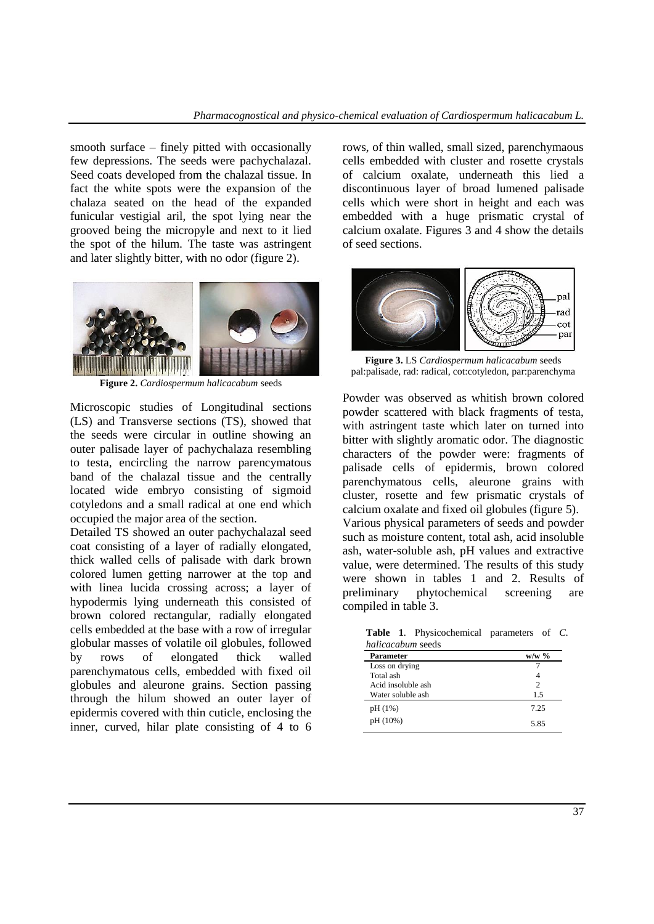smooth surface – finely pitted with occasionally few depressions. The seeds were pachychalazal. Seed coats developed from the chalazal tissue. In fact the white spots were the expansion of the chalaza seated on the head of the expanded funicular vestigial aril, the spot lying near the grooved being the micropyle and next to it lied the spot of the hilum. The taste was astringent and later slightly bitter, with no odor (figure 2).



**Figure 2.** *Cardiospermum halicacabum* seeds

Microscopic studies of Longitudinal sections (LS) and Transverse sections (TS), showed that the seeds were circular in outline showing an outer palisade layer of pachychalaza resembling to testa, encircling the narrow parencymatous band of the chalazal tissue and the centrally located wide embryo consisting of sigmoid cotyledons and a small radical at one end which occupied the major area of the section.

Detailed TS showed an outer pachychalazal seed coat consisting of a layer of radially elongated, thick walled cells of palisade with dark brown colored lumen getting narrower at the top and with linea lucida crossing across; a layer of hypodermis lying underneath this consisted of brown colored rectangular, radially elongated cells embedded at the base with a row of irregular globular masses of volatile oil globules, followed by rows of elongated thick walled parenchymatous cells, embedded with fixed oil globules and aleurone grains. Section passing through the hilum showed an outer layer of epidermis covered with thin cuticle, enclosing the inner, curved, hilar plate consisting of 4 to 6 rows, of thin walled, small sized, parenchymaous cells embedded with cluster and rosette crystals of calcium oxalate, underneath this lied a discontinuous layer of broad lumened palisade cells which were short in height and each was embedded with a huge prismatic crystal of calcium oxalate. Figures 3 and 4 show the details of seed sections.



**Figure 3.** LS *Cardiospermum halicacabum* seeds pal:palisade, rad: radical, cot:cotyledon, par:parenchyma

Powder was observed as whitish brown colored powder scattered with black fragments of testa, with astringent taste which later on turned into bitter with slightly aromatic odor. The diagnostic characters of the powder were: fragments of palisade cells of epidermis, brown colored parenchymatous cells, aleurone grains with cluster, rosette and few prismatic crystals of calcium oxalate and fixed oil globules (figure 5). Various physical parameters of seeds and powder such as moisture content, total ash, acid insoluble ash, water-soluble ash, pH values and extractive value, were determined. The results of this study were shown in tables 1 and 2. Results of preliminary phytochemical screening are compiled in table 3.

**Table 1**. Physicochemical parameters of *C. halicacabum* seeds

| Parameter          | $w/w$ % |  |
|--------------------|---------|--|
| Loss on drying     |         |  |
| Total ash          |         |  |
| Acid insoluble ash | 2       |  |
| Water soluble ash  | 1.5     |  |
| pH (1%)            | 7.25    |  |
| pH (10%)           | 5.85    |  |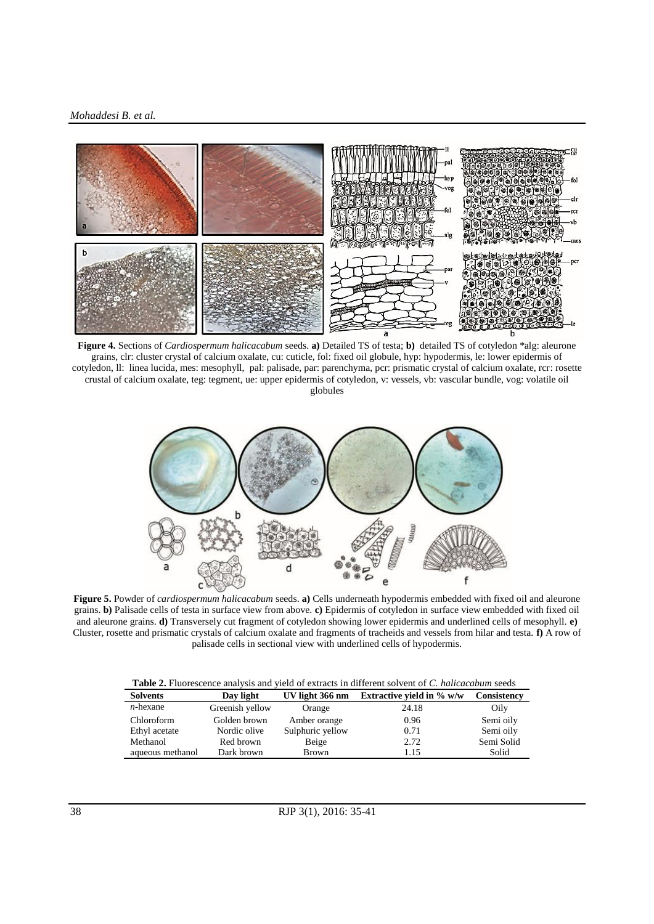#### *Mohaddesi B. et al.*



**Figure 4.** Sections of *Cardiospermum halicacabum* seeds. **a)** Detailed TS of testa; **b)** detailed TS of cotyledon \*alg: aleurone grains, clr: cluster crystal of calcium oxalate, cu: cuticle, fol: fixed oil globule, hyp: hypodermis, le: lower epidermis of cotyledon, ll: linea lucida, mes: mesophyll, pal: palisade, par: parenchyma, pcr: prismatic crystal of calcium oxalate, rcr: rosette crustal of calcium oxalate, teg: tegment, ue: upper epidermis of cotyledon, v: vessels, vb: vascular bundle, vog: volatile oil

globules



**Figure 5.** Powder of *cardiospermum halicacabum* seeds. **a)** Cells underneath hypodermis embedded with fixed oil and aleurone grains. **b)** Palisade cells of testa in surface view from above. **c)** Epidermis of cotyledon in surface view embedded with fixed oil and aleurone grains. **d)** Transversely cut fragment of cotyledon showing lower epidermis and underlined cells of mesophyll. **e)** Cluster, rosette and prismatic crystals of calcium oxalate and fragments of tracheids and vessels from hilar and testa. **f)** A row of palisade cells in sectional view with underlined cells of hypodermis.

|  |  | <b>Table 2.</b> Fluorescence analysis and vield of extracts in different solvent of C. halicacabum seeds |
|--|--|----------------------------------------------------------------------------------------------------------|
|--|--|----------------------------------------------------------------------------------------------------------|

| <b>Solvents</b>  | Day light       | UV light 366 nm  | Extractive vield in $\%$ w/w | Consistency |
|------------------|-----------------|------------------|------------------------------|-------------|
| $n$ -hexane      | Greenish yellow | Orange           | 24.18                        | Oily        |
| Chloroform       | Golden brown    | Amber orange     | 0.96                         | Semi oily   |
| Ethyl acetate    | Nordic olive    | Sulphuric yellow | 0.71                         | Semi oily   |
| Methanol         | Red brown       | Beige            | 2.72                         | Semi Solid  |
| aqueous methanol | Dark brown      | <b>Brown</b>     | 1.15                         | Solid       |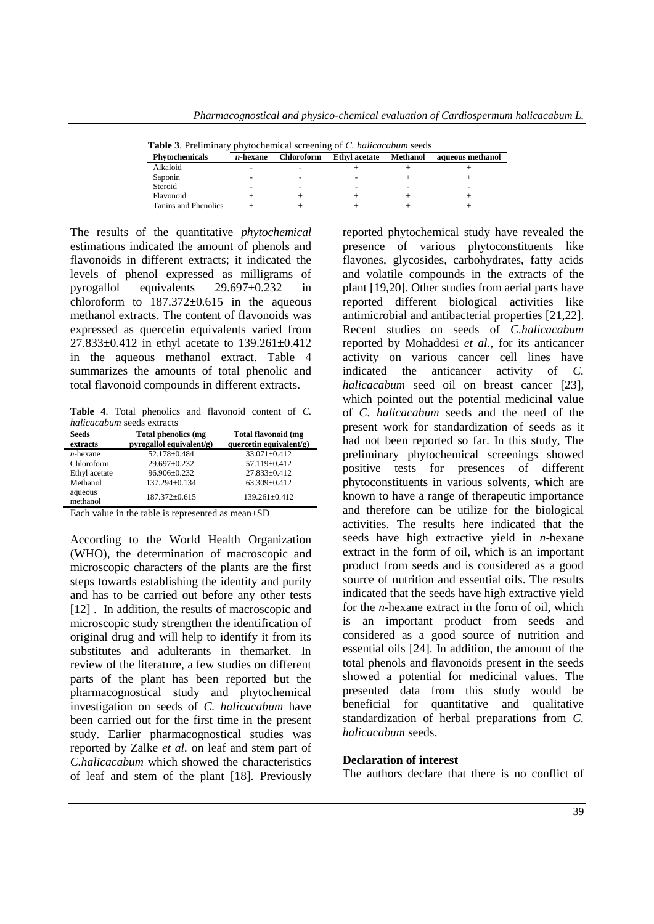| <b>Table 5.</b> Flemminally phytochemical screening of C. <i>numerablim</i> seeds |             |                   |                      |          |                  |
|-----------------------------------------------------------------------------------|-------------|-------------------|----------------------|----------|------------------|
| <b>Phytochemicals</b>                                                             | $n$ -hexane | <b>Chloroform</b> | <b>Ethyl</b> acetate | Methanol | aqueous methanol |
| Alkaloid                                                                          |             |                   |                      |          |                  |
| Saponin                                                                           |             |                   |                      |          |                  |
| Steroid                                                                           |             |                   |                      |          |                  |
| Flavonoid                                                                         |             |                   |                      |          |                  |
| Tanins and Phenolics                                                              |             |                   |                      |          |                  |

**Table 3**. Preliminary phytochemical screening of *C. halicacabum* seeds

The results of the quantitative *phytochemical* estimations indicated the amount of phenols and flavonoids in different extracts; it indicated the levels of phenol expressed as milligrams of pyrogallol equivalents 29.697±0.232 in chloroform to  $187.372 \pm 0.615$  in the aqueous methanol extracts. The content of flavonoids was expressed as quercetin equivalents varied from 27.833±0.412 in ethyl acetate to 139.261±0.412 in the aqueous methanol extract. Table 4 summarizes the amounts of total phenolic and total flavonoid compounds in different extracts.

**Table 4**. Total phenolics and flavonoid content of *C. halicacabum* seeds extracts

| <b>Seeds</b><br>extracts | Total phenolics (mg<br>pyrogallol equivalent/g) | Total flavonoid (mg<br>quercetin equivalent/g) |
|--------------------------|-------------------------------------------------|------------------------------------------------|
| $n$ -hexane              | 52.178±0.484                                    | $33.071 \pm 0.412$                             |
| Chloroform               | 29.697±0.232                                    | 57.119±0.412                                   |
| Ethyl acetate            | 96.906±0.232                                    | 27.833±0.412                                   |
| Methanol                 | 137.294±0.134                                   | $63.309 \pm 0.412$                             |
| aqueous<br>methanol      | $187.372 \pm 0.615$                             | $139.261 \pm 0.412$                            |

Each value in the table is represented as mean±SD

According to the World Health Organization (WHO), the determination of macroscopic and microscopic characters of the plants are the first steps towards establishing the identity and purity and has to be carried out before any other tests [12]. In addition, the results of macroscopic and microscopic study strengthen the identification of original drug and will help to identify it from its substitutes and adulterants in themarket. In review of the literature, a few studies on different parts of the plant has been reported but the pharmacognostical study and phytochemical investigation on seeds of *C. halicacabum* have been carried out for the first time in the present study. Earlier pharmacognostical studies was reported by Zalke *et al.* on leaf and stem part of *C.halicacabum* which showed the characteristics of leaf and stem of the plant [18]. Previously reported phytochemical study have revealed the presence of various phytoconstituents like flavones, glycosides, carbohydrates, fatty acids and volatile compounds in the extracts of the plant [19,20]. Other studies from aerial parts have reported different biological activities like antimicrobial and antibacterial properties [21,22]. Recent studies on seeds of *C.halicacabum* reported by Mohaddesi *et al.,* for its anticancer activity on various cancer cell lines have indicated the anticancer activity of *C. halicacabum* seed oil on breast cancer [23], which pointed out the potential medicinal value of *C. halicacabum* seeds and the need of the present work for standardization of seeds as it had not been reported so far. In this study, The preliminary phytochemical screenings showed positive tests for presences of different phytoconstituents in various solvents, which are known to have a range of therapeutic importance and therefore can be utilize for the biological activities. The results here indicated that the seeds have high extractive yield in *n*-hexane extract in the form of oil, which is an important product from seeds and is considered as a good source of nutrition and essential oils. The results indicated that the seeds have high extractive yield for the *n*-hexane extract in the form of oil, which is an important product from seeds and considered as a good source of nutrition and essential oils [24]. In addition, the amount of the total phenols and flavonoids present in the seeds showed a potential for medicinal values. The presented data from this study would be beneficial for quantitative and qualitative standardization of herbal preparations from *C. halicacabum* seeds.

#### **Declaration of interest**

The authors declare that there is no conflict of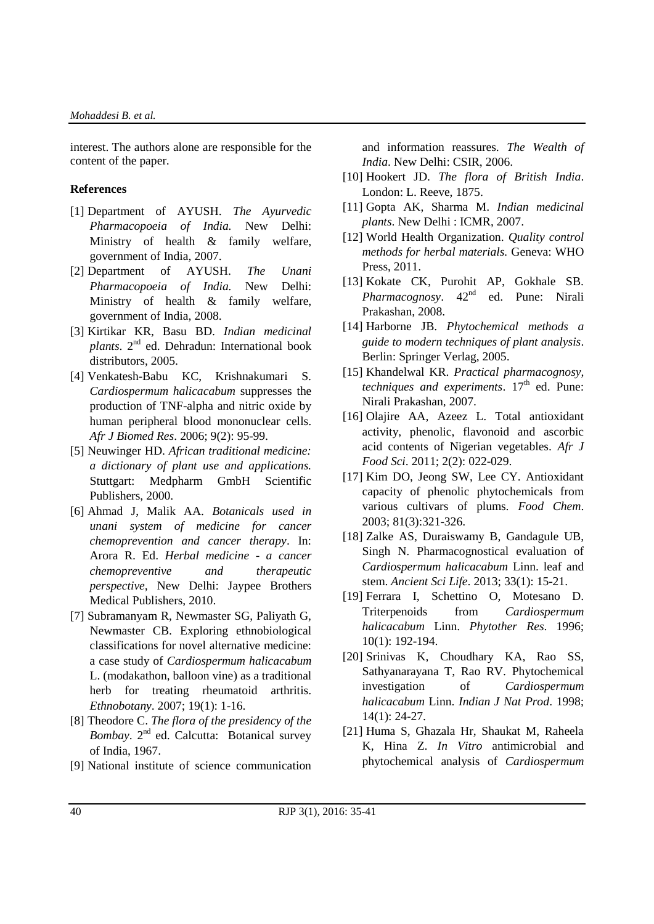interest. The authors alone are responsible for the content of the paper.

#### **References**

- [1] Department of AYUSH. *The Ayurvedic Pharmacopoeia of India.* New Delhi: Ministry of health & family welfare, government of India, 2007.
- [2] Department of AYUSH. *The Unani Pharmacopoeia of India.* New Delhi: Ministry of health & family welfare, government of India, 2008.
- [3] Kirtikar KR, Basu BD. *Indian medicinal plants*. 2nd ed. Dehradun: International book distributors, 2005.
- [4] Venkatesh-Babu KC, Krishnakumari S. *Cardiospermum halicacabum* suppresses the production of TNF-alpha and nitric oxide by human peripheral blood mononuclear cells. *Afr J Biomed Res*. 2006; 9(2): 95-99.
- [5] Neuwinger HD. *African traditional medicine: a dictionary of plant use and applications.* Stuttgart: Medpharm GmbH Scientific Publishers, 2000.
- [6] Ahmad J, Malik AA. *Botanicals used in unani system of medicine for cancer chemoprevention and cancer therapy*. In: Arora R. Ed. *Herbal medicine - a cancer chemopreventive and therapeutic perspective,* New Delhi: Jaypee Brothers Medical Publishers, 2010.
- [7] Subramanyam R, Newmaster SG, Paliyath G, Newmaster CB. Exploring ethnobiological classifications for novel alternative medicine: a case study of *Cardiospermum halicacabum* L. (modakathon, balloon vine) as a traditional herb for treating rheumatoid arthritis. *Ethnobotany*. 2007; 19(1): 1-16.
- [8] Theodore C. *The flora of the presidency of the Bombay*. 2<sup>nd</sup> ed. Calcutta: Botanical survey of India, 1967.
- [9] National institute of science communication

and information reassures. *The Wealth of India*. New Delhi: CSIR, 2006.

- [10] Hookert JD. *The flora of British India*. London: L. Reeve, 1875.
- [11] Gopta AK, Sharma M. *Indian medicinal plants*. New Delhi : ICMR, 2007.
- [12] World Health Organization. *Quality control methods for herbal materials.* Geneva: WHO Press, 2011.
- [13] Kokate CK, Purohit AP, Gokhale SB. *Pharmacognosy*. 42<sup>nd</sup> ed. Pune: Nirali Prakashan, 2008.
- [14] Harborne JB. *Phytochemical methods a guide to modern techniques of plant analysis*. Berlin: Springer Verlag, 2005.
- [15] Khandelwal KR. *Practical pharmacognosy, techniques and experiments*. 17<sup>th</sup> ed. Pune: Nirali Prakashan, 2007.
- [16] Olajire AA, Azeez L. Total antioxidant activity, phenolic, flavonoid and ascorbic acid contents of Nigerian vegetables. *Afr J Food Sci*. 2011; 2(2): 022-029.
- [17] Kim DO, Jeong SW, Lee CY. Antioxidant capacity of phenolic phytochemicals from various cultivars of plums. *Food Chem*. 2003; 81(3):321-326.
- [18] Zalke AS, Duraiswamy B, Gandagule UB, Singh N. Pharmacognostical evaluation of *Cardiospermum halicacabum* Linn. leaf and stem. *Ancient Sci Life*. 2013; 33(1): 15-21.
- [19] Ferrara I, Schettino O, Motesano D. Triterpenoids from *Cardiospermum halicacabum* Linn. *Phytother Res*. 1996; 10(1): 192-194.
- [20] Srinivas K, Choudhary KA, Rao SS, Sathyanarayana T, Rao RV. Phytochemical investigation of *Cardiospermum halicacabum* Linn. *Indian J Nat Prod*. 1998; 14(1): 24-27.
- [21] Huma S, Ghazala Hr, Shaukat M, Raheela K, Hina Z. *In Vitro* antimicrobial and phytochemical analysis of *Cardiospermum*